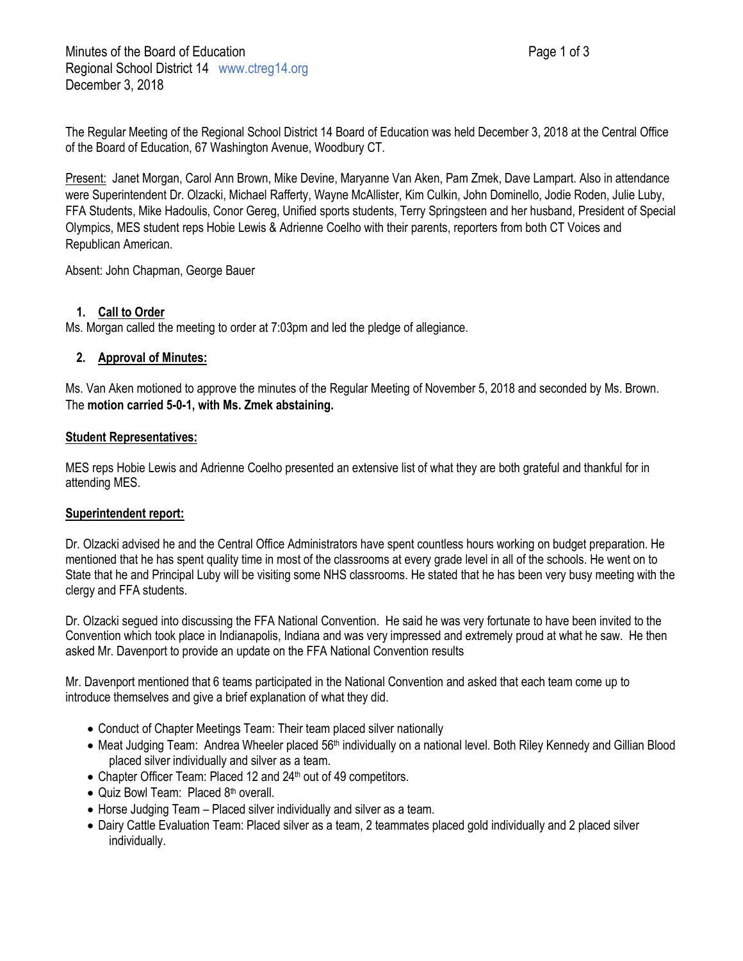The Regular Meeting of the Regional School District 14 Board of Education was held December 3, 2018 at the Central Office of the Board of Education, 67 Washington Avenue, Woodbury CT.

Present: Janet Morgan, Carol Ann Brown, Mike Devine, Maryanne Van Aken, Pam Zmek, Dave Lampart. Also in attendance were Superintendent Dr. Olzacki, Michael Rafferty, Wayne McAllister, Kim Culkin, John Dominello, Jodie Roden, Julie Luby, FFA Students, Mike Hadoulis, Conor Gereg, Unified sports students, Terry Springsteen and her husband, President of Special Olympics, MES student reps Hobie Lewis & Adrienne Coelho with their parents, reporters from both CT Voices and Republican American.

Absent: John Chapman, George Bauer

# **1. Call to Order**

Ms. Morgan called the meeting to order at 7:03pm and led the pledge of allegiance.

## **2. Approval of Minutes:**

Ms. Van Aken motioned to approve the minutes of the Regular Meeting of November 5, 2018 and seconded by Ms. Brown. The **motion carried 5-0-1, with Ms. Zmek abstaining.**

## **Student Representatives:**

MES reps Hobie Lewis and Adrienne Coelho presented an extensive list of what they are both grateful and thankful for in attending MES.

### **Superintendent report:**

Dr. Olzacki advised he and the Central Office Administrators have spent countless hours working on budget preparation. He mentioned that he has spent quality time in most of the classrooms at every grade level in all of the schools. He went on to State that he and Principal Luby will be visiting some NHS classrooms. He stated that he has been very busy meeting with the clergy and FFA students.

Dr. Olzacki segued into discussing the FFA National Convention. He said he was very fortunate to have been invited to the Convention which took place in Indianapolis, Indiana and was very impressed and extremely proud at what he saw. He then asked Mr. Davenport to provide an update on the FFA National Convention results

Mr. Davenport mentioned that 6 teams participated in the National Convention and asked that each team come up to introduce themselves and give a brief explanation of what they did.

- Conduct of Chapter Meetings Team: Their team placed silver nationally
- Meat Judging Team: Andrea Wheeler placed 56<sup>th</sup> individually on a national level. Both Riley Kennedy and Gillian Blood placed silver individually and silver as a team.
- Chapter Officer Team: Placed 12 and 24<sup>th</sup> out of 49 competitors.
- Quiz Bowl Team: Placed 8<sup>th</sup> overall.
- Horse Judging Team Placed silver individually and silver as a team.
- Dairy Cattle Evaluation Team: Placed silver as a team, 2 teammates placed gold individually and 2 placed silver individually.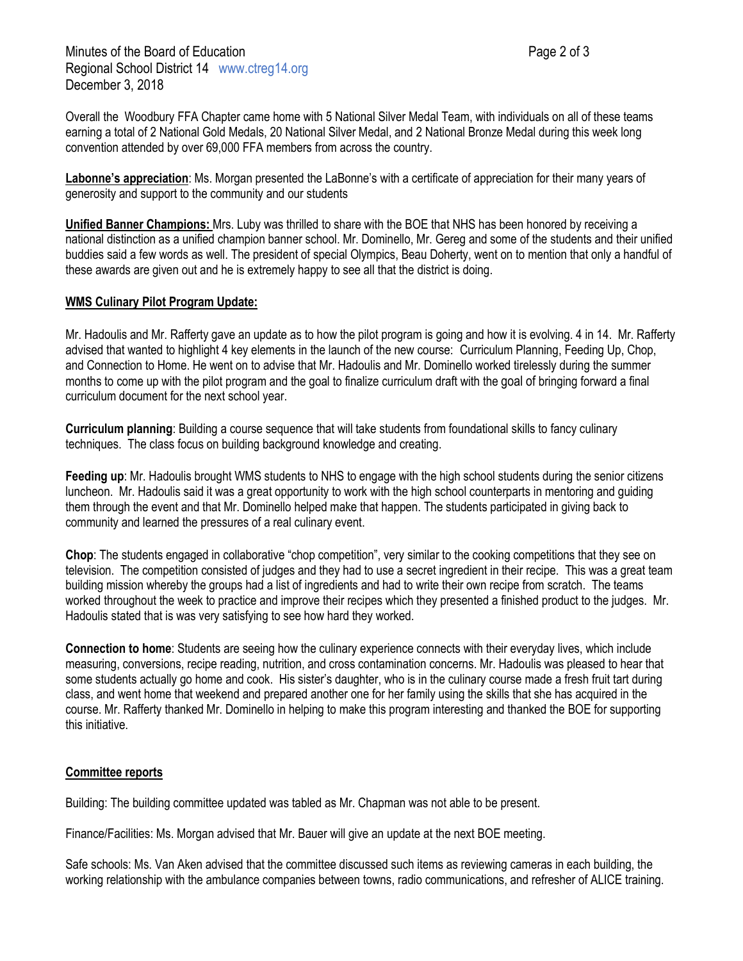Minutes of the Board of Education **Page 2 of 3** and 2 of 3 Regional School District 14 www.ctreg14.org December 3, 2018

Overall the Woodbury FFA Chapter came home with 5 National Silver Medal Team, with individuals on all of these teams earning a total of 2 National Gold Medals, 20 National Silver Medal, and 2 National Bronze Medal during this week long convention attended by over 69,000 FFA members from across the country.

**Labonne's appreciation**: Ms. Morgan presented the LaBonne's with a certificate of appreciation for their many years of generosity and support to the community and our students

**Unified Banner Champions:** Mrs. Luby was thrilled to share with the BOE that NHS has been honored by receiving a national distinction as a unified champion banner school. Mr. Dominello, Mr. Gereg and some of the students and their unified buddies said a few words as well. The president of special Olympics, Beau Doherty, went on to mention that only a handful of these awards are given out and he is extremely happy to see all that the district is doing.

#### **WMS Culinary Pilot Program Update:**

Mr. Hadoulis and Mr. Rafferty gave an update as to how the pilot program is going and how it is evolving. 4 in 14. Mr. Rafferty advised that wanted to highlight 4 key elements in the launch of the new course: Curriculum Planning, Feeding Up, Chop, and Connection to Home. He went on to advise that Mr. Hadoulis and Mr. Dominello worked tirelessly during the summer months to come up with the pilot program and the goal to finalize curriculum draft with the goal of bringing forward a final curriculum document for the next school year.

**Curriculum planning**: Building a course sequence that will take students from foundational skills to fancy culinary techniques. The class focus on building background knowledge and creating.

**Feeding up**: Mr. Hadoulis brought WMS students to NHS to engage with the high school students during the senior citizens luncheon. Mr. Hadoulis said it was a great opportunity to work with the high school counterparts in mentoring and guiding them through the event and that Mr. Dominello helped make that happen. The students participated in giving back to community and learned the pressures of a real culinary event.

**Chop**: The students engaged in collaborative "chop competition", very similar to the cooking competitions that they see on television. The competition consisted of judges and they had to use a secret ingredient in their recipe. This was a great team building mission whereby the groups had a list of ingredients and had to write their own recipe from scratch. The teams worked throughout the week to practice and improve their recipes which they presented a finished product to the judges. Mr. Hadoulis stated that is was very satisfying to see how hard they worked.

**Connection to home**: Students are seeing how the culinary experience connects with their everyday lives, which include measuring, conversions, recipe reading, nutrition, and cross contamination concerns. Mr. Hadoulis was pleased to hear that some students actually go home and cook. His sister's daughter, who is in the culinary course made a fresh fruit tart during class, and went home that weekend and prepared another one for her family using the skills that she has acquired in the course. Mr. Rafferty thanked Mr. Dominello in helping to make this program interesting and thanked the BOE for supporting this initiative.

### **Committee reports**

Building: The building committee updated was tabled as Mr. Chapman was not able to be present.

Finance/Facilities: Ms. Morgan advised that Mr. Bauer will give an update at the next BOE meeting.

Safe schools: Ms. Van Aken advised that the committee discussed such items as reviewing cameras in each building, the working relationship with the ambulance companies between towns, radio communications, and refresher of ALICE training.